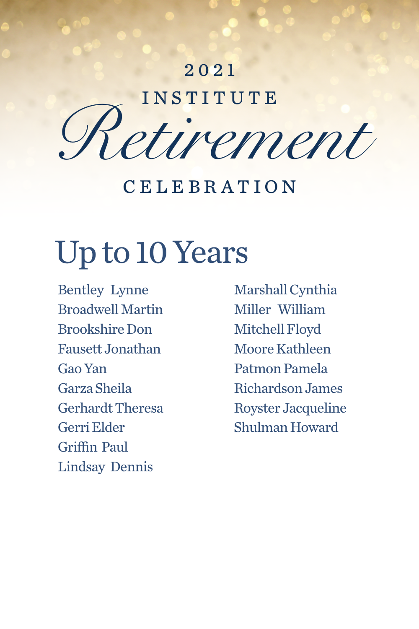### Up to 10 Years

Bentley Lynne Broadwell Martin Brookshire Don Fausett Jonathan Gao Yan Garza Sheila Gerhardt Theresa Gerri Elder

#### Griffin Paul Lindsay Dennis

# Retirement CELEBRATION 2021

Marshall Cynthia Miller William Mitchell Floyd Moore Kathleen Patmon Pamela Richardson James Royster Jacqueline Shulman Howard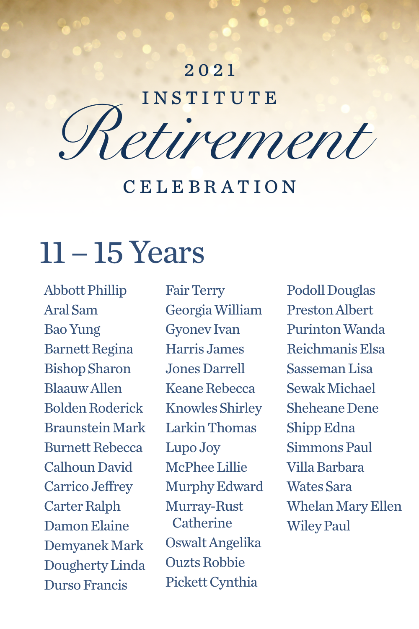### 11 – 15 Years

Abbott Phillip Aral Sam Bao Yung Barnett Regina Bishop Sharon Blaauw Allen Bolden Roderick Braunstein Mark

Burnett Rebecca Calhoun David Carrico Jeffrey Carter Ralph Damon Elaine Demyanek Mark Dougherty Linda Durso Francis

# Retirement CELEBRATION 2021

Fair Terry Georgia William Gyonev Ivan Harris James Jones Darrell Keane Rebecca Knowles Shirley Larkin Thomas Lupo Joy McPhee Lillie Murphy Edward Murray-Rust Catherine Oswalt Angelika Ouzts Robbie Pickett Cynthia

Podoll Douglas Preston Albert Purinton Wanda Reichmanis Elsa Sasseman Lisa Sewak Michael Sheheane Dene Shipp Edna

Simmons Paul Villa Barbara Wates Sara Whelan Mary Ellen Wiley Paul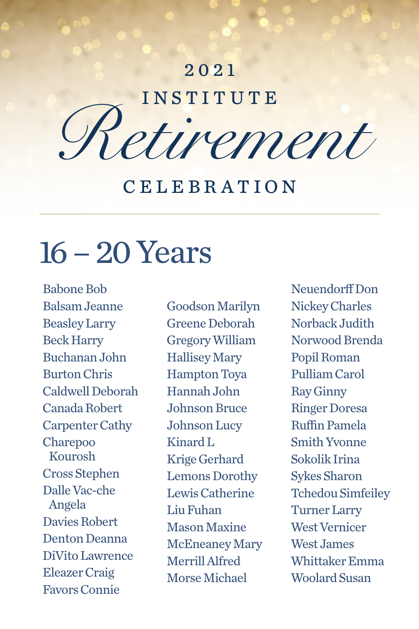### 16 – 20 Years

Babone Bob Balsam Jeanne Beasley Larry Beck Harry Buchanan John Burton Chris Caldwell Deborah Canada Robert Carpenter Cathy Charepoo Kourosh Cross Stephen Dalle Vac-che Angela Davies Robert Denton Deanna DiVito Lawrence Eleazer Craig Favors Connie

Goodson Marilyn Greene Deborah Gregory William Hallisey Mary Hampton Toya Hannah John Johnson Bruce Johnson Lucy

# Retirement CELEBRATION 2021

Kinard L Krige Gerhard Lemons Dorothy Lewis Catherine Liu Fuhan Mason Maxine McEneaney Mary Merrill Alfred Morse Michael

Neuendorff Don Nickey Charles Norback Judith Norwood Brenda Popil Roman Pulliam Carol Ray Ginny Ringer Doresa Ruffin Pamela Smith Yvonne Sokolik Irina Sykes Sharon Tchedou Simfeiley Turner Larry West Vernicer West James Whittaker Emma Woolard Susan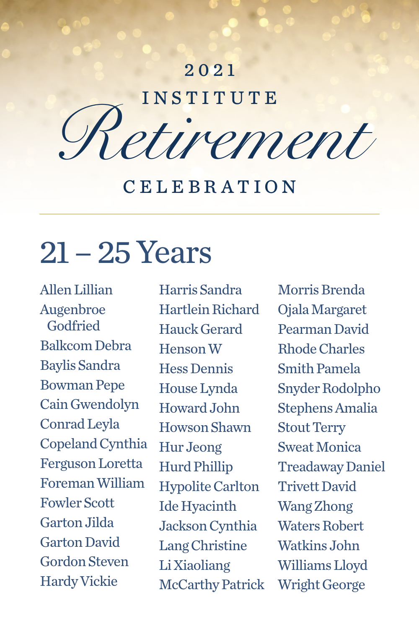#### 21 – 25 Years

Allen Lillian Augenbroe Godfried Balkcom Debra Baylis Sandra Bowman Pepe Cain Gwendolyn Conrad Leyla Copeland Cynthia Ferguson Loretta Foreman William Fowler Scott Garton Jilda Garton David Gordon Steven Hardy Vickie

Harris Sandra Hartlein Richard Hauck Gerard Henson W Hess Dennis House Lynda Howard John Howson Shawn Hur Jeong Hurd Phillip Hypolite Carlton Ide Hyacinth Jackson Cynthia Lang Christine Li Xiaoliang McCarthy Patrick

# Retirement CELEBRATION 2021

Morris Brenda Ojala Margaret Pearman David Rhode Charles Smith Pamela Snyder Rodolpho Stephens Amalia Stout Terry

Sweat Monica Treadaway Daniel Trivett David Wang Zhong Waters Robert Watkins John Williams Lloyd Wright George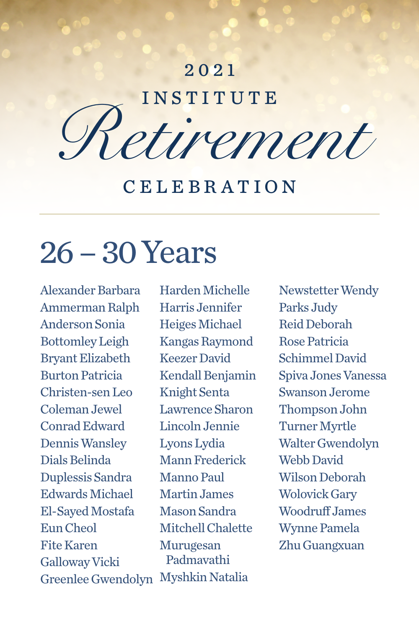### 26 – 30 Years

Alexander Barbara Ammerman Ralph Anderson Sonia Bottomley Leigh Bryant Elizabeth Burton Patricia Christen-sen Leo Coleman Jewel Conrad Edward Dennis Wansley Dials Belinda Duplessis Sandra Edwards Michael El-Sayed Mostafa Eun Cheol Fite Karen Galloway Vicki Greenlee Gwendolyn Lyons Lydia Mann Frederick Manno Paul Martin James Mason Sandra Mitchell Chalette Murugesan Padmavathi Myshkin Natalia

Harden Michelle Harris Jennifer Heiges Michael Kangas Raymond Keezer David Kendall Benjamin Knight Senta Lawrence Sharon Lincoln Jennie

# Retirement CELEBRATION 2021

Newstetter Wendy Parks Judy Reid Deborah Rose Patricia Schimmel David Spiva Jones Vanessa Swanson Jerome Thompson John Turner Myrtle Walter Gwendolyn Webb David Wilson Deborah Wolovick Gary Woodruff James Wynne Pamela Zhu Guangxuan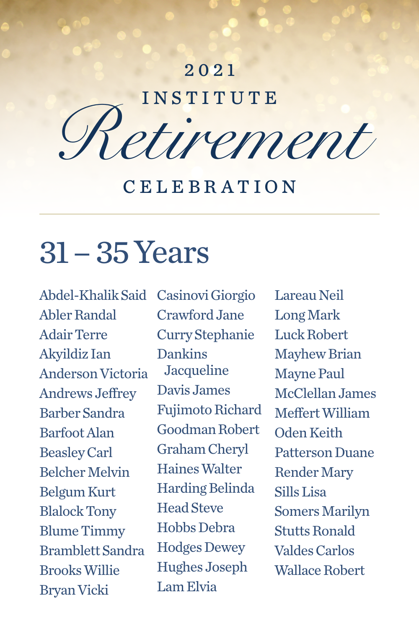#### 31 – 35 Years

Bryan Vicki

Abdel-Khalik Said Casinovi Giorgio Abler Randal Adair Terre Akyildiz Ian Anderson Victoria Andrews Jeffrey Barber Sandra Barfoot Alan Beasley Carl Belcher Melvin Belgum Kurt Blalock Tony Blume Timmy Bramblett Sandra Brooks Willie Crawford Jane Curry Stephanie Dankins Jacqueline Davis James Fujimoto Richard Goodman Robert Graham Cheryl Haines Walter Harding Belinda Head Steve Hobbs Debra Hodges Dewey Hughes Joseph Lam Elvia

# Retirement CELEBRATION 2021

Lareau Neil Long Mark Luck Robert Mayhew Brian Mayne Paul McClellan James Meffert William Oden Keith

Patterson Duane Render Mary Sills Lisa Somers Marilyn Stutts Ronald Valdes Carlos Wallace Robert